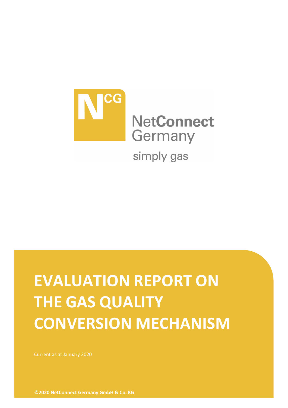

# **EVALUATION REPORT ON THE GAS QUALITY CONVERSION MECHANISM**

Current as at January 2020

**©2020 NetConnect Germany GmbH & Co. KG**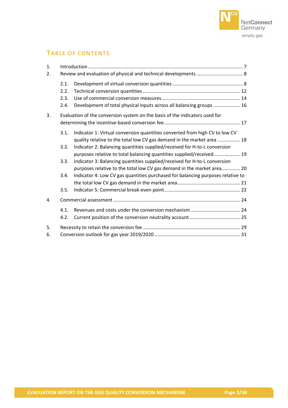

# **TABLE OF CONTENTS**

| 1.<br>2. |                                                                             |                                                                                                                                                       |  |  |  |
|----------|-----------------------------------------------------------------------------|-------------------------------------------------------------------------------------------------------------------------------------------------------|--|--|--|
|          | 2.1.<br>2.2.<br>2.3.<br>2.4.                                                | Development of total physical inputs across all balancing groups  16                                                                                  |  |  |  |
| 3.       | Evaluation of the conversion system on the basis of the indicators used for |                                                                                                                                                       |  |  |  |
|          | 3.1.                                                                        | Indicator 1: Virtual conversion quantities converted from high CV to low CV<br>quality relative to the total low CV gas demand in the market area  18 |  |  |  |
|          | 3.2.                                                                        | Indicator 2: Balancing quantities supplied/received for H-to-L conversion<br>purposes relative to total balancing quantities supplied/received 19     |  |  |  |
|          | 3.3.                                                                        | Indicator 3: Balancing quantities supplied/received for H-to-L conversion<br>purposes relative to the total low CV gas demand in the market area 20   |  |  |  |
|          | 3.4.                                                                        | Indicator 4: Low CV gas quantities purchased for balancing purposes relative to                                                                       |  |  |  |
|          | 3.5.                                                                        |                                                                                                                                                       |  |  |  |
| 4.       |                                                                             |                                                                                                                                                       |  |  |  |
|          | 4.1.<br>4.2.                                                                |                                                                                                                                                       |  |  |  |
| 5.<br>6. |                                                                             |                                                                                                                                                       |  |  |  |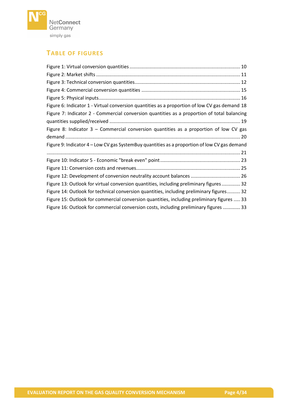

# **TABLE OF FIGURES**

| Figure 6: Indicator 1 - Virtual conversion quantities as a proportion of low CV gas demand 18 |
|-----------------------------------------------------------------------------------------------|
| Figure 7: Indicator 2 - Commercial conversion quantities as a proportion of total balancing   |
|                                                                                               |
| Figure 8: Indicator 3 – Commercial conversion quantities as a proportion of low CV gas        |
|                                                                                               |
| Figure 9: Indicator 4 - Low CV gas SystemBuy quantities as a proportion of low CV gas demand  |
|                                                                                               |
|                                                                                               |
|                                                                                               |
| Figure 12: Development of conversion neutrality account balances  26                          |
| Figure 13: Outlook for virtual conversion quantities, including preliminary figures 32        |
| Figure 14: Outlook for technical conversion quantities, including preliminary figures 32      |
| Figure 15: Outlook for commercial conversion quantities, including preliminary figures  33    |
| Figure 16: Outlook for commercial conversion costs, including preliminary figures  33         |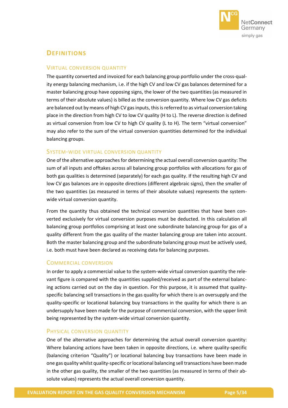

# **DEFINITIONS**

# VIRTUAL CONVERSION QUANTITY

The quantity converted and invoiced for each balancing group portfolio under the cross-quality energy balancing mechanism, i.e. if the high CV and low CV gas balances determined for a master balancing group have opposing signs, the lower of the two quantities (as measured in terms of their absolute values) is billed as the conversion quantity. Where low CV gas deficits are balanced out by means of high CV gas inputs, this is referred to as virtual conversion taking place in the direction from high CV to low CV quality (H to L). The reverse direction is defined as virtual conversion from low CV to high CV quality (L to H). The term "virtual conversion" may also refer to the sum of the virtual conversion quantities determined for the individual balancing groups.

## SYSTEM-WIDE VIRTUAL CONVERSION QUANTITY

One of the alternative approaches for determining the actual overall conversion quantity: The sum of all inputs and offtakes across all balancing group portfolios with allocations for gas of both gas qualities is determined (separately) for each gas quality. If the resulting high CV and low CV gas balances are in opposite directions (different algebraic signs), then the smaller of the two quantities (as measured in terms of their absolute values) represents the systemwide virtual conversion quantity.

From the quantity thus obtained the technical conversion quantities that have been converted exclusively for virtual conversion purposes must be deducted. In this calculation all balancing group portfolios comprising at least one subordinate balancing group for gas of a quality different from the gas quality of the master balancing group are taken into account. Both the master balancing group and the subordinate balancing group must be actively used, i.e. both must have been declared as receiving data for balancing purposes.

# COMMERCIAL CONVERSION

In order to apply a commercial value to the system-wide virtual conversion quantity the relevant figure is compared with the quantities supplied/received as part of the external balancing actions carried out on the day in question. For this purpose, it is assumed that qualityspecific balancing sell transactions in the gas quality for which there is an oversupply and the quality-specific or locational balancing buy transactions in the quality for which there is an undersupply have been made for the purpose of commercial conversion, with the upper limit being represented by the system-wide virtual conversion quantity.

# PHYSICAL CONVERSION QUANTITY

One of the alternative approaches for determining the actual overall conversion quantity: Where balancing actions have been taken in opposite directions, i.e. where quality-specific (balancing criterion "Quality") or locational balancing buy transactions have been made in one gas quality whilst quality-specific or locational balancing sell transactions have been made in the other gas quality, the smaller of the two quantities (as measured in terms of their absolute values) represents the actual overall conversion quantity.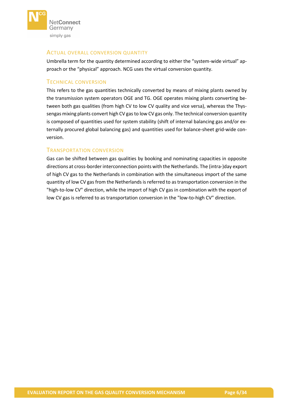

# ACTUAL OVERALL CONVERSION QUANTITY

Umbrella term for the quantity determined according to either the "system-wide virtual" approach or the "physical" approach. NCG uses the virtual conversion quantity.

# TECHNICAL CONVERSION

This refers to the gas quantities technically converted by means of mixing plants owned by the transmission system operators OGE and TG. OGE operates mixing plants converting between both gas qualities (from high CV to low CV quality and vice versa), whereas the Thyssengas mixing plants convert high CV gas to low CV gas only. The technical conversion quantity is composed of quantities used for system stability (shift of internal balancing gas and/or externally procured global balancing gas) and quantities used for balance-sheet grid-wide conversion.

# TRANSPORTATION CONVERSION

Gas can be shifted between gas qualities by booking and nominating capacities in opposite directions at cross-border interconnection points with the Netherlands. The (intra-)day export of high CV gas to the Netherlands in combination with the simultaneous import of the same quantity of low CV gas from the Netherlands is referred to as transportation conversion in the "high-to-low CV" direction, while the import of high CV gas in combination with the export of low CV gas is referred to as transportation conversion in the "low-to-high CV" direction.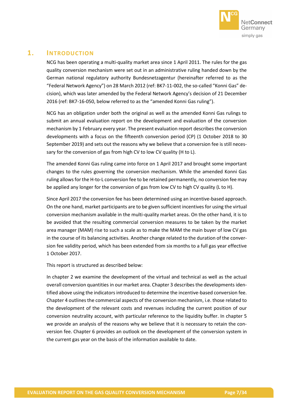

# <span id="page-6-0"></span>**1. INTRODUCTION**

NCG has been operating a multi-quality market area since 1 April 2011. The rules for the gas quality conversion mechanism were set out in an administrative ruling handed down by the German national regulatory authority Bundesnetzagentur (hereinafter referred to as the "Federal Network Agency") on 28 March 2012 (ref: BK7-11-002, the so-called "Konni Gas" decision), which was later amended by the Federal Network Agency's decision of 21 December 2016 (ref: BK7-16-050, below referred to as the "amended Konni Gas ruling").

NCG has an obligation under both the original as well as the amended Konni Gas rulings to submit an annual evaluation report on the development and evaluation of the conversion mechanism by 1 February every year. The present evaluation report describes the conversion developments with a focus on the fifteenth conversion period (CP) (1 October 2018 to 30 September 2019) and sets out the reasons why we believe that a conversion fee is still necessary for the conversion of gas from high CV to low CV quality (H to L).

The amended Konni Gas ruling came into force on 1 April 2017 and brought some important changes to the rules governing the conversion mechanism. While the amended Konni Gas ruling allows for the H-to-L conversion fee to be retained permanently, no conversion fee may be applied any longer for the conversion of gas from low CV to high CV quality (L to H).

Since April 2017 the conversion fee has been determined using an incentive-based approach. On the one hand, market participants are to be given sufficient incentives for using the virtual conversion mechanism available in the multi-quality market areas. On the other hand, it is to be avoided that the resulting commercial conversion measures to be taken by the market area manager (MAM) rise to such a scale as to make the MAM the main buyer of low CV gas in the course of its balancing activities. Another change related to the duration of the conversion fee validity period, which has been extended from six months to a full gas year effective 1 October 2017.

This report is structured as described below:

In chapter [2](#page-7-0) we examine the development of the virtual and technical as well as the actual overall conversion quantities in our market area. Chapter [3](#page-16-0) describes the developments identified above using the indicators introduced to determine the incentive-based conversion fee. Chapter [4](#page-23-0) outlines the commercial aspects of the conversion mechanism, i.e. those related to the development of the relevant costs and revenues including the current position of our conversion neutrality account, with particular reference to the liquidity buffer. In chapter [5](#page-28-0) we provide an analysis of the reasons why we believe that it is necessary to retain the conversion fee. Chapter [6](#page-30-0) provides an outlook on the development of the conversion system in the current gas year on the basis of the information available to date.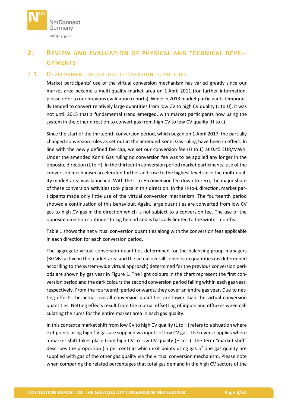

# <span id="page-7-0"></span>**2. REVIEW AND EVALUATION OF PHYSICAL AND TECHNICAL DEVEL-OPMENTS**

# <span id="page-7-1"></span>2.1. DEVELOPMENT OF VIRTUAL CONVERSION QUANTITIES

Market participants' use of the virtual conversion mechanism has varied greatly since our market area became a multi-quality market area on 1 April 2011 (for further information, please refer to our previous evaluation reports). While in 2013 market participants temporarily tended to convert relatively large quantities from low CV to high CV quality (L to H), it was not until 2015 that a fundamental trend emerged, with market participants now using the system in the other direction to convert gas from high CV to low CV quality (H to L).

Since the start of the thirteenth conversion period, which began on 1 April 2017, the partially changed conversion rules as set out in the amended Konni Gas ruling have been in effect. In line with the newly defined fee cap, we set our conversion fee (H to L) at 0.45 EUR/MWh. Under the amended Konni Gas ruling no conversion fee was to be applied any longer in the opposite direction (L to H). In the thirteenth conversion period market participants' use of the conversion mechanism accelerated further and rose to the highest level since the multi-quality market area was launched. With the L-to-H conversion fee down to zero, the major share of these conversion activities took place in this direction. In the H-to-L direction, market participants made only little use of the virtual conversion mechanism. The fourteenth period showed a continuation of this behaviour. Again, large quantities are converted from low CV gas to high CV gas in the direction which is not subject to a conversion fee. The use of the opposite direction continues to lag behind and is basically limited to the winter months.

[Table](#page-8-0) 1 shows the net virtual conversion quantities along with the conversion fees applicable in each direction for each conversion period.

The aggregate virtual conversion quantities determined for the balancing group managers (BGMs) active in the market area and the actual overall conversion quantities (as determined according to the system-wide virtual approach) determined for the previous conversion periods are shown by gas year in [Figure](#page-9-0) 1. The light colours in the chart represent the first conversion period and the dark colours the second conversion period falling within each gas year, respectively. From the fourteenth period onwards, they cover an entire gas year. Due to netting effects the actual overall conversion quantities are lower than the virtual conversion quantities. Netting effects result from the mutual offsetting of inputs and offtakes when calculating the sums for the entire market area in each gas quality.

In this context a market shift from low CV to high CV quality (L to H) refers to a situation where exit points using high CV gas are supplied via inputs of low CV gas. The reverse applies where a market shift takes place from high CV to low CV quality (H to L). The term "market shift" describes the proportion (in per cent) in which exit points using gas of one gas quality are supplied with gas of the other gas quality via the virtual conversion mechanism. Please note when comparing the related percentages that total gas demand in the high CV sectors of the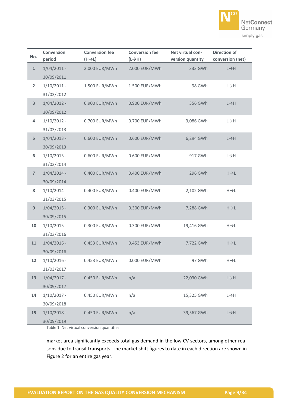

| No.                     | <b>Conversion</b><br>period               | <b>Conversion fee</b><br>(H→L) | <b>Conversion fee</b><br>$(L \rightarrow H)$ | Net virtual con-<br>version quantity | <b>Direction of</b><br>conversion (net) |
|-------------------------|-------------------------------------------|--------------------------------|----------------------------------------------|--------------------------------------|-----------------------------------------|
| $\mathbf{1}$            | $1/04/2011$ -                             | 2.000 EUR/MWh                  | 2.000 EUR/MWh                                | 333 GWh                              | $L \rightarrow H$                       |
| $\overline{\mathbf{2}}$ | 30/09/2011<br>$1/10/2011$ -               | 1.500 EUR/MWh                  | 1.500 EUR/MWh                                | 98 GWh                               | $L \rightarrow H$                       |
| $\overline{\mathbf{3}}$ | 31/03/2012<br>$1/04/2012 -$               | 0.900 EUR/MWh                  | 0.900 EUR/MWh                                | 356 GWh                              | $L \rightarrow H$                       |
| 4                       | 30/09/2012<br>$1/10/2012 -$               | 0.700 EUR/MWh                  | 0.700 EUR/MWh                                | 3,086 GWh                            | $L \rightarrow H$                       |
| 5                       | 31/03/2013<br>$1/04/2013 -$               | 0.600 EUR/MWh                  | 0.600 EUR/MWh                                | 6,294 GWh                            | $L \rightarrow H$                       |
| 6                       | 30/09/2013<br>$1/10/2013 -$               | 0.600 EUR/MWh                  | 0.600 EUR/MWh                                | 917 GWh                              | $L \rightarrow H$                       |
| $\overline{7}$          | 31/03/2014<br>$1/04/2014$ -<br>30/09/2014 | 0.400 EUR/MWh                  | 0.400 EUR/MWh                                | 296 GWh                              | $H\rightarrow L$                        |
| 8                       | $1/10/2014$ -<br>31/03/2015               | 0.400 EUR/MWh                  | 0.400 EUR/MWh                                | 2,102 GWh                            | $H\rightarrow L$                        |
| 9                       | $1/04/2015 -$<br>30/09/2015               | 0.300 EUR/MWh                  | 0.300 EUR/MWh                                | 7,288 GWh                            | $H\rightarrow L$                        |
| 10                      | $1/10/2015$ -<br>31/03/2016               | 0.300 EUR/MWh                  | 0.300 EUR/MWh                                | 19,416 GWh                           | $H\rightarrow L$                        |
| 11                      | $1/04/2016$ -<br>30/09/2016               | 0.453 EUR/MWh                  | 0.453 EUR/MWh                                | 7,722 GWh                            | $H\rightarrow L$                        |
| 12                      | $1/10/2016$ -<br>31/03/2017               | 0.453 EUR/MWh                  | 0.000 EUR/MWh                                | 97 GWh                               | $H\rightarrow L$                        |
| 13                      | $1/04/2017 -$<br>30/09/2017               | 0.450 EUR/MWh                  | n/a                                          | 22,030 GWh                           | $L \rightarrow H$                       |
| 14                      | $1/10/2017$ -<br>30/09/2018               | 0.450 EUR/MWh                  | n/a                                          | 15,325 GWh                           | $L \rightarrow H$                       |
| 15                      | $1/10/2018 -$<br>30/09/2019               | 0.450 EUR/MWh                  | n/a                                          | 39,567 GWh                           | $L \rightarrow H$                       |

<span id="page-8-0"></span>Table 1: Net virtual conversion quantities

market area significantly exceeds total gas demand in the low CV sectors, among other reasons due to transit transports. The market shift figures to date in each direction are shown in [Figure](#page-10-0) 2 for an entire gas year.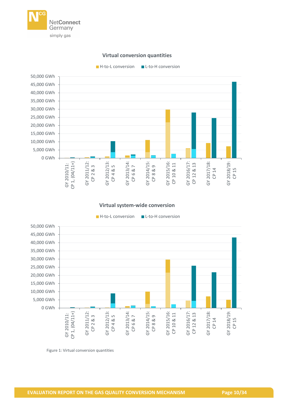

# **Virtual conversion quantities**

 $H$ -to-L conversion  $H$  L-to-H conversion



#### **Virtual system-wide conversion**



<span id="page-9-0"></span>Figure 1: Virtual conversion quantities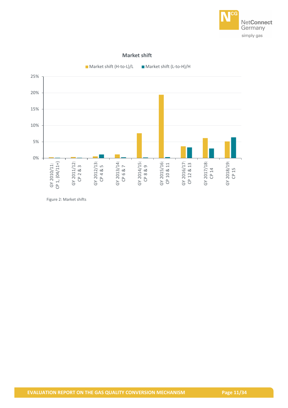

#### **Market shift**



<span id="page-10-0"></span>Figure 2: Market shifts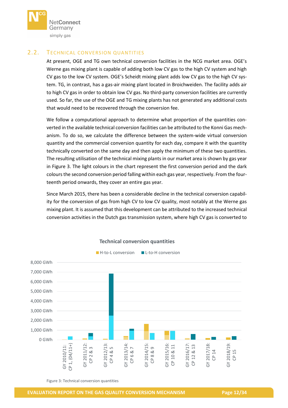

# <span id="page-11-0"></span>2.2. TECHNICAL CONVERSION QUANTITIES

At present, OGE and TG own technical conversion facilities in the NCG market area. OGE's Werne gas mixing plant is capable of adding both low CV gas to the high CV system and high CV gas to the low CV system. OGE's Scheidt mixing plant adds low CV gas to the high CV system. TG, in contrast, has a gas-air mixing plant located in Broichweiden. The facility adds air to high CV gas in order to obtain low CV gas. No third-party conversion facilities are currently used. So far, the use of the OGE and TG mixing plants has not generated any additional costs that would need to be recovered through the conversion fee.

We follow a computational approach to determine what proportion of the quantities converted in the available technical conversion facilities can be attributed to the Konni Gas mechanism. To do so, we calculate the difference between the system-wide virtual conversion quantity and the commercial conversion quantity for each day, compare it with the quantity technically converted on the same day and then apply the minimum of these two quantities. The resulting utilisation of the technical mixing plants in our market area is shown by gas year in [Figure 3.](#page-11-1) The light colours in the chart represent the first conversion period and the dark colours the second conversion period falling within each gas year, respectively. From the fourteenth period onwards, they cover an entire gas year.

Since March 2015, there has been a considerable decline in the technical conversion capability for the conversion of gas from high CV to low CV quality, most notably at the Werne gas mixing plant. It is assumed that this development can be attributed to the increased technical conversion activities in the Dutch gas transmission system, where high CV gas is converted to



## **Technical conversion quantities**

<span id="page-11-1"></span>Figure 3: Technical conversion quantities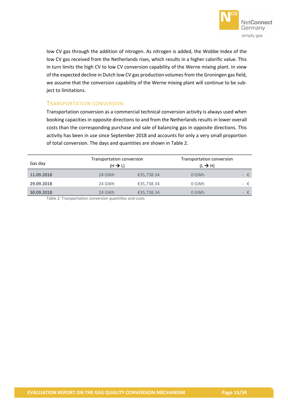

low CV gas through the addition of nitrogen. As nitrogen is added, the Wobbe Index of the low CV gas received from the Netherlands rises, which results in a higher calorific value. This in turn limits the high CV to low CV conversion capability of the Werne mixing plant. In view of the expected decline in Dutch low CV gas production volumes from the Groningen gas field, we assume that the conversion capability of the Werne mixing plant will continue to be subject to limitations.

# TRANSPORTATION CONVERSION

Transportation conversion as a commercial technical conversion activity is always used when booking capacities in opposite directions to and from the Netherlands results in lower overall costs than the corresponding purchase and sale of balancing gas in opposite directions. This activity has been in use since September 2018 and accounts for only a very small proportion of total conversion. The days and quantities are shown in [Table](#page-12-0) 2.

| Gas day    | Transportation conversion<br>$(H \rightarrow L)$ |            | Transportation conversion<br>$(L \rightarrow H)$ |                |
|------------|--------------------------------------------------|------------|--------------------------------------------------|----------------|
| 11.09.2018 | 24 GWh                                           | €35,738.34 | 0 GWh                                            | $ \varepsilon$ |
| 29.09.2018 | 24 GWh                                           | €35,738.34 | 0 GWh                                            | - €            |
| 30.09.2018 | 24 GWh                                           | €35,738.34 | 0 GWh                                            | $ \varepsilon$ |

<span id="page-12-0"></span>Table 2: Transportation conversion quantities and costs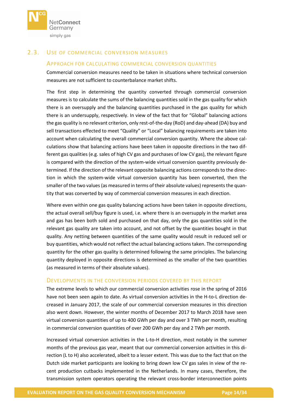

# <span id="page-13-0"></span>2.3. USE OF COMMERCIAL CONVERSION MEASURES

# APPROACH FOR CALCULATING COMMERCIAL CONVERSION QUANTITIES

Commercial conversion measures need to be taken in situations where technical conversion measures are not sufficient to counterbalance market shifts.

The first step in determining the quantity converted through commercial conversion measures is to calculate the sums of the balancing quantities sold in the gas quality for which there is an oversupply and the balancing quantities purchased in the gas quality for which there is an undersupply, respectively. In view of the fact that for "Global" balancing actions the gas quality is no relevant criterion, only rest-of-the-day (RoD) and day-ahead (DA) buy and sell transactions effected to meet "Quality" or "Local" balancing requirements are taken into account when calculating the overall commercial conversion quantity. Where the above calculations show that balancing actions have been taken in opposite directions in the two different gas qualities (e.g. sales of high CV gas and purchases of low CV gas), the relevant figure is compared with the direction of the system-wide virtual conversion quantity previously determined. If the direction of the relevant opposite balancing actions corresponds to the direction in which the system-wide virtual conversion quantity has been converted, then the smaller of the two values (as measured in terms of their absolute values) represents the quantity that was converted by way of commercial conversion measures in each direction.

Where even within one gas quality balancing actions have been taken in opposite directions, the actual overall sell/buy figure is used, i.e. where there is an oversupply in the market area and gas has been both sold and purchased on that day, only the gas quantities sold in the relevant gas quality are taken into account, and not offset by the quantities bought in that quality. Any netting between quantities of the same quality would result in reduced sell or buy quantities, which would not reflect the actual balancing actions taken. The corresponding quantity for the other gas quality is determined following the same principles. The balancing quantity deployed in opposite directions is determined as the smaller of the two quantities (as measured in terms of their absolute values).

#### DEVELOPMENTS IN THE CONVERSION PERIODS COVERED BY THIS REPORT

The extreme levels to which our commercial conversion activities rose in the spring of 2016 have not been seen again to date. As virtual conversion activities in the H-to-L direction decreased in January 2017, the scale of our commercial conversion measures in this direction also went down. However, the winter months of December 2017 to March 2018 have seen virtual conversion quantities of up to 400 GWh per day and over 3 TWh per month, resulting in commercial conversion quantities of over 200 GWh per day and 2 TWh per month.

Increased virtual conversion activities in the L-to-H direction, most notably in the summer months of the previous gas year, meant that our commercial conversion activities in this direction (L to H) also accelerated, albeit to a lesser extent. This was due to the fact that on the Dutch side market participants are looking to bring down low CV gas sales in view of the recent production cutbacks implemented in the Netherlands. In many cases, therefore, the transmission system operators operating the relevant cross-border interconnection points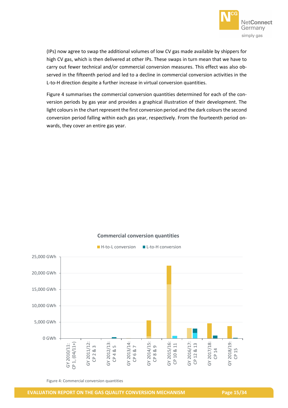

(IPs) now agree to swap the additional volumes of low CV gas made available by shippers for high CV gas, which is then delivered at other IPs. These swaps in turn mean that we have to carry out fewer technical and/or commercial conversion measures. This effect was also observed in the fifteenth period and led to a decline in commercial conversion activities in the L-to-H direction despite a further increase in virtual conversion quantities.

[Figure](#page-14-0) 4 summarises the commercial conversion quantities determined for each of the conversion periods by gas year and provides a graphical illustration of their development. The light colours in the chart represent the first conversion period and the dark colours the second conversion period falling within each gas year, respectively. From the fourteenth period onwards, they cover an entire gas year.



# **Commercial conversion quantities**

<span id="page-14-0"></span>Figure 4: Commercial conversion quantities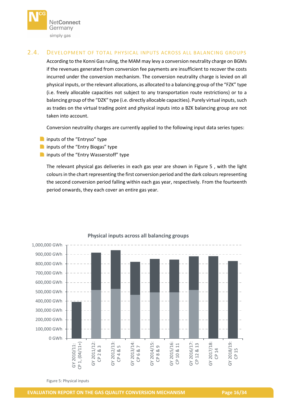

# <span id="page-15-0"></span>2.4. DEVELOPMENT OF TOTAL PHYSICAL INPUTS ACROSS ALL BALANCING GROUPS

According to the Konni Gas ruling, the MAM may levy a conversion neutrality charge on BGMs if the revenues generated from conversion fee payments are insufficient to recover the costs incurred under the conversion mechanism. The conversion neutrality charge is levied on all physical inputs, or the relevant allocations, as allocated to a balancing group of the "FZK" type (i.e. freely allocable capacities not subject to any transportation route restrictions) or to a balancing group of the "DZK" type (i.e. directly allocable capacities). Purely virtual inputs, such as trades on the virtual trading point and physical inputs into a BZK balancing group are not taken into account.

Conversion neutrality charges are currently applied to the following input data series types:

- **n** inputs of the "Entryso" type
- **n** inputs of the "Entry Biogas" type
- **n** inputs of the "Entry Wasserstoff" type

The relevant physical gas deliveries in each gas year are shown in [Figure](#page-15-1) 5 , with the light colours in the chart representing the first conversion period and the dark colours representing the second conversion period falling within each gas year, respectively. From the fourteenth period onwards, they each cover an entire gas year.



# **Physical inputs across all balancing groups**

<span id="page-15-1"></span>Figure 5: Physical inputs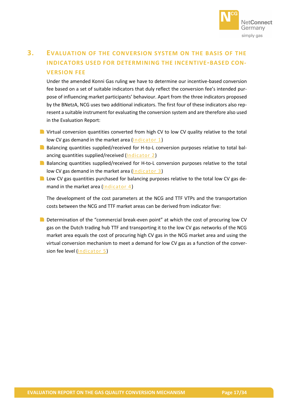

# <span id="page-16-0"></span>**3. EVALUATION OF THE CONVERSION SYSTEM ON THE BASIS OF THE INDICATORS USED FOR DETERMINING THE INCENTIVE-BASED CON-VERSION FEE**

Under the amended Konni Gas ruling we have to determine our incentive-based conversion fee based on a set of suitable indicators that duly reflect the conversion fee's intended purpose of influencing market participants' behaviour. Apart from the three indicators proposed by the BNetzA, NCG uses two additional indicators. The first four of these indicators also represent a suitable instrument for evaluating the conversion system and are therefore also used in the Evaluation Report:

- **N** Virtual conversion quantities converted from high CV to low CV quality relative to the total low CV gas demand in the market area [\(Indicator 1\)](#page-17-0)
- **Balancing quantities supplied/received for H-to-L conversion purposes relative to total bal**ancing quantities supplied/received [\(Indicator 2\)](#page-18-0)
- **B** Balancing quantities supplied/received for H-to-L conversion purposes relative to the total low CV gas demand in the market area [\(Indicator 3\)](#page-19-0)
- **Low CV gas quantities purchased for balancing purposes relative to the total low CV gas de**mand in the market area [\(Indicator 4\)](#page-20-0)

The development of the cost parameters at the NCG and TTF VTPs and the transportation costs between the NCG and TTF market areas can be derived from indicator five:

Determination of the "commercial break-even point" at which the cost of procuring low CV gas on the Dutch trading hub TTF and transporting it to the low CV gas networks of the NCG market area equals the cost of procuring high CV gas in the NCG market area and using the virtual conversion mechanism to meet a demand for low CV gas as a function of the conversion fee level [\(Indicator 5\)](#page-21-0)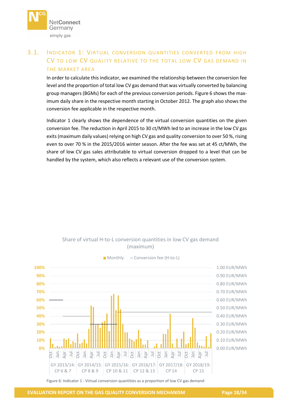

# <span id="page-17-0"></span>3.1. INDICATOR 1: VIRTUAL CONVERSION QUANTITIES CONVERTED FROM HIGH CV TO LOW CV QUALITY RELATIVE TO THE TOTAL LOW CV GAS DEMAND IN THE MARKET AREA

In order to calculate this indicator, we examined the relationship between the conversion fee level and the proportion of total low CV gas demand that was virtually converted by balancing group managers (BGMs) for each of the previous conversion periods[. Figure](#page-17-1) 6 shows the maximum daily share in the respective month starting in October 2012. The graph also shows the conversion fee applicable in the respective month.

Indicator 1 clearly shows the dependence of the virtual conversion quantities on the given conversion fee. The reduction in April 2015 to 30 ct/MWh led to an increase in the low CV gas exits (maximum daily values) relying on high CV gas and quality conversion to over 50 %, rising even to over 70 % in the 2015/2016 winter season. After the fee was set at 45 ct/MWh, the share of low CV gas sales attributable to virtual conversion dropped to a level that can be handled by the system, which also reflects a relevant use of the conversion system.



# Share of virtual H-to-L conversion quantities in low CV gas demand (maximum)

 $M$  Monthly  $-$  Conversion fee (H-to-L)

<span id="page-17-1"></span>Figure 6: Indicator 1 - Virtual conversion quantities as a proportion of low CV gas demand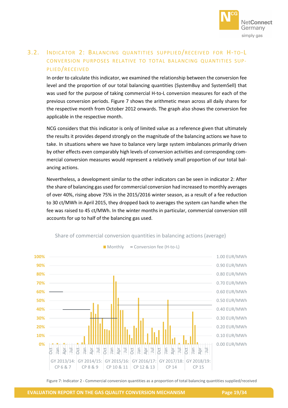

# <span id="page-18-0"></span>3.2. INDICATOR 2: BALANCING QUANTITIES SUPPLIED/RECEIVED FOR H-TO-L CONVERSION PURPOSES RELATIVE TO TOTAL BALANCING QUANTITIES SUP-PLIED/RECEIVED

In order to calculate this indicator, we examined the relationship between the conversion fee level and the proportion of our total balancing quantities (SystemBuy and SystemSell) that was used for the purpose of taking commercial H-to-L conversion measures for each of the previous conversion periods. [Figure](#page-18-1) 7 shows the arithmetic mean across all daily shares for the respective month from October 2012 onwards. The graph also shows the conversion fee applicable in the respective month.

NCG considers that this indicator is only of limited value as a reference given that ultimately the results it provides depend strongly on the magnitude of the balancing actions we have to take. In situations where we have to balance very large system imbalances primarily driven by other effects even comparably high levels of conversion activities and corresponding commercial conversion measures would represent a relatively small proportion of our total balancing actions.

Nevertheless, a development similar to the other indicators can be seen in indicator 2: After the share of balancing gas used for commercial conversion had increased to monthly averages of over 40%, rising above 75% in the 2015/2016 winter season, as a result of a fee reduction to 30 ct/MWh in April 2015, they dropped back to averages the system can handle when the fee was raised to 45 ct/MWh. In the winter months in particular, commercial conversion still accounts for up to half of the balancing gas used.



Share of commercial conversion quantities in balancing actions (average)

<span id="page-18-1"></span>Figure 7: Indicator 2 - Commercial conversion quantities as a proportion of total balancing quantities supplied/received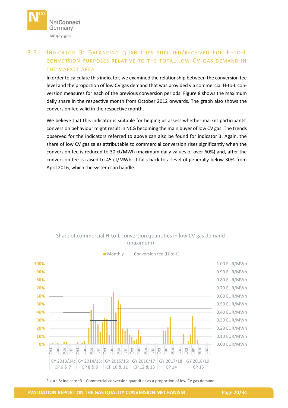

# <span id="page-19-0"></span>3.3. INDICATOR 3: BALANCING QUANTITIES SUPPLIED/RECEIVED FOR H-TO-L CONVERSION PURPOSES RELATIVE TO THE TOTAL LOW CV GAS DEMAND IN THE MARKET AREA

In order to calculate this indicator, we examined the relationship between the conversion fee level and the proportion of low CV gas demand that was provided via commercial H-to-L conversion measures for each of the previous conversion periods. [Figure](#page-19-1) 8 shows the maximum daily share in the respective month from October 2012 onwards. The graph also shows the conversion fee valid in the respective month.

We believe that this indicator is suitable for helping us assess whether market participants' conversion behaviour might result in NCG becoming the main buyer of low CV gas. The trends observed for the indicators referred to above can also be found for indicator 3. Again, the share of low CV gas sales attributable to commercial conversion rises significantly when the conversion fee is reduced to 30 ct/MWh (maximum daily values of over 60%) and, after the conversion fee is raised to 45 ct/MWh, it falls back to a level of generally below 30% from April 2016, which the system can handle.





 $\blacksquare$  Monthly  $\blacksquare$  Conversion fee (H-to-L)

<span id="page-19-1"></span>Figure 8: Indicator 3 – Commercial conversion quantities as a proportion of low CV gas demand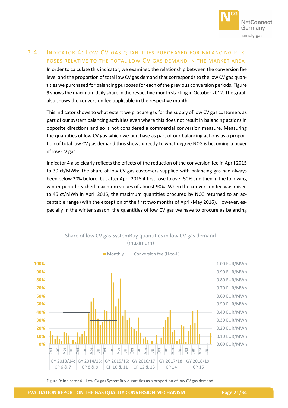

# <span id="page-20-0"></span>3.4. INDICATOR 4: LOW CV GAS QUANTITIES PURCHASED FOR BALANCING PUR-POSES RELATIVE TO THE TOTAL LOW CV GAS DEMAND IN THE MARKET AREA

In order to calculate this indicator, we examined the relationship between the conversion fee level and the proportion of total low CV gas demand that corresponds to the low CV gas quantities we purchased for balancing purposes for each of the previous conversion periods[. Figure](#page-20-1) [9](#page-20-1) shows the maximum daily share in the respective month starting in October 2012. The graph also shows the conversion fee applicable in the respective month.

This indicator shows to what extent we procure gas for the supply of low CV gas customers as part of our system balancing activities even where this does not result in balancing actions in opposite directions and so is not considered a commercial conversion measure. Measuring the quantities of low CV gas which we purchase as part of our balancing actions as a proportion of total low CV gas demand thus shows directly to what degree NCG is becoming a buyer of low CV gas.

Indicator 4 also clearly reflects the effects of the reduction of the conversion fee in April 2015 to 30 ct/MWh: The share of low CV gas customers supplied with balancing gas had always been below 20% before, but after April 2015 it first rose to over 50% and then in the following winter period reached maximum values of almost 90%. When the conversion fee was raised to 45 ct/MWh in April 2016, the maximum quantities procured by NCG returned to an acceptable range (with the exception of the first two months of April/May 2016). However, especially in the winter season, the quantities of low CV gas we have to procure as balancing



Share of low CV gas SystemBuy quantities in low CV gas demand (maximum)

<span id="page-20-1"></span>Figure 9: Indicator 4 – Low CV gas SystemBuy quantities as a proportion of low CV gas demand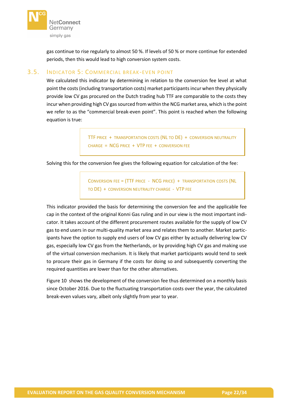

gas continue to rise regularly to almost 50 %. If levels of 50 % or more continue for extended periods, then this would lead to high conversion system costs.

# <span id="page-21-0"></span>3.5. INDICATOR 5: COMMERCIAL BREAK-EVEN POINT

We calculated this indicator by determining in relation to the conversion fee level at what point the costs (including transportation costs) market participants incur when they physically provide low CV gas procured on the Dutch trading hub TTF are comparable to the costs they incur when providing high CV gas sourced from within the NCG market area, which is the point we refer to as the "commercial break-even point". This point is reached when the following equation is true:

> TTF PRICE + TRANSPORTATION COSTS (NL TO DE) + CONVERSION NEUTRALITY CHARGE = NCG PRICE + VTP FEE + CONVERSION FEE

Solving this for the conversion fee gives the following equation for calculation of the fee:

CONVERSION FEE = (TTF PRICE - NCG PRICE) + TRANSPORTATION COSTS (NL TO DE) + CONVERSION NEUTRALITY CHARGE - VTP FEE

This indicator provided the basis for determining the conversion fee and the applicable fee cap in the context of the original Konni Gas ruling and in our view is the most important indicator. It takes account of the different procurement routes available for the supply of low CV gas to end users in our multi-quality market area and relates them to another. Market participants have the option to supply end users of low CV gas either by actually delivering low CV gas, especially low CV gas from the Netherlands, or by providing high CV gas and making use of the virtual conversion mechanism. It is likely that market participants would tend to seek to procure their gas in Germany if the costs for doing so and subsequently converting the required quantities are lower than for the other alternatives.

[Figure](#page-22-0) 10 shows the development of the conversion fee thus determined on a monthly basis since October 2016. Due to the fluctuating transportation costs over the year, the calculated break-even values vary, albeit only slightly from year to year.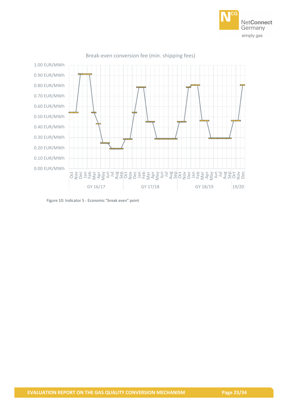



#### Break-even conversion fee (min. shipping fees)

<span id="page-22-0"></span>Figure 10: Indicator 5 - Economic "break even" point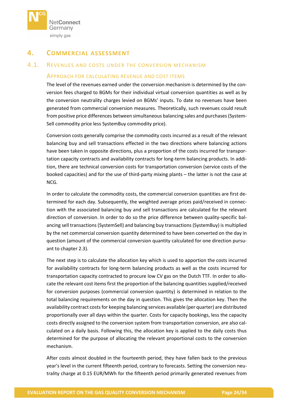

# <span id="page-23-0"></span>**4. COMMERCIAL ASSESSMENT**

# <span id="page-23-1"></span>4.1. REVENUES AND COSTS UNDER THE CONVERSION MECHANISM

#### APPROACH FOR CALCULATING REVENUE AND COST ITEMS

The level of the revenues earned under the conversion mechanism is determined by the conversion fees charged to BGMs for their individual virtual conversion quantities as well as by the conversion neutrality charges levied on BGMs' inputs. To date no revenues have been generated from commercial conversion measures. Theoretically, such revenues could result from positive price differences between simultaneous balancing sales and purchases (System-Sell commodity price less SystemBuy commodity price).

Conversion costs generally comprise the commodity costs incurred as a result of the relevant balancing buy and sell transactions effected in the two directions where balancing actions have been taken in opposite directions, plus a proportion of the costs incurred for transportation capacity contracts and availability contracts for long-term balancing products. In addition, there are technical conversion costs for transportation conversion (service costs of the booked capacities) and for the use of third-party mixing plants – the latter is not the case at NCG.

In order to calculate the commodity costs, the commercial conversion quantities are first determined for each day. Subsequently, the weighted average prices paid/received in connection with the associated balancing buy and sell transactions are calculated for the relevant direction of conversion. In order to do so the price difference between quality-specific balancing sell transactions (SystemSell) and balancing buy transactions (SystemBuy) is multiplied by the net commercial conversion quantity determined to have been converted on the day in question (amount of the commercial conversion quantity calculated for one direction pursuant to chapter [2.3\)](#page-13-0).

The next step is to calculate the allocation key which is used to apportion the costs incurred for availability contracts for long-term balancing products as well as the costs incurred for transportation capacity contracted to procure low CV gas on the Dutch TTF. In order to allocate the relevant cost items first the proportion of the balancing quantities supplied/received for conversion purposes (commercial conversion quantity) is determined in relation to the total balancing requirements on the day in question. This gives the allocation key. Then the availability contract costs for keeping balancing services available (per quarter) are distributed proportionally over all days within the quarter. Costs for capacity bookings, less the capacity costs directly assigned to the conversion system from transportation conversion, are also calculated on a daily basis. Following this, the allocation key is applied to the daily costs thus determined for the purpose of allocating the relevant proportional costs to the conversion mechanism.

After costs almost doubled in the fourteenth period, they have fallen back to the previous year's level in the current fifteenth period, contrary to forecasts. Setting the conversion neutrality charge at 0.15 EUR/MWh for the fifteenth period primarily generated revenues from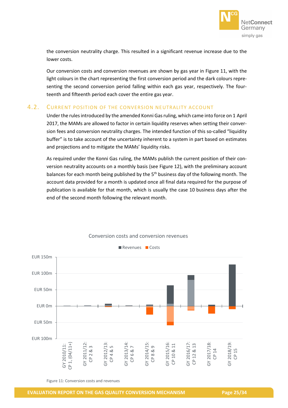

the conversion neutrality charge. This resulted in a significant revenue increase due to the lower costs.

Our conversion costs and conversion revenues are shown by gas year in [Figure](#page-24-1) 11, with the light colours in the chart representing the first conversion period and the dark colours representing the second conversion period falling within each gas year, respectively. The fourteenth and fifteenth period each cover the entire gas year.

# <span id="page-24-0"></span>4.2. CURRENT POSITION OF THE CONVERSION NEUTRALITY ACCOUNT

Under the rules introduced by the amended Konni Gas ruling, which came into force on 1 April 2017, the MAMs are allowed to factor in certain liquidity reserves when setting their conversion fees and conversion neutrality charges. The intended function of this so-called "liquidity buffer" is to take account of the uncertainty inherent to a system in part based on estimates and projections and to mitigate the MAMs' liquidity risks.

As required under the Konni Gas ruling, the MAMs publish the current position of their conversion neutrality accounts on a monthly basis (see [Figure](#page-25-0) 12), with the preliminary account balances for each month being published by the 5<sup>th</sup> business day of the following month. The account data provided for a month is updated once all final data required for the purpose of publication is available for that month, which is usually the case 10 business days after the end of the second month following the relevant month.



Conversion costs and conversion revenues

<span id="page-24-1"></span>Figure 11: Conversion costs and revenues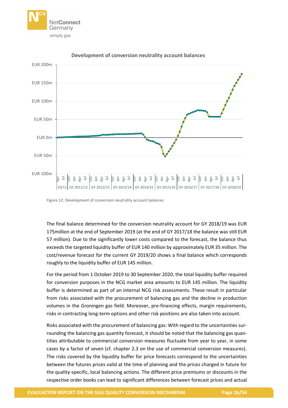



#### **Development of conversion neutrality account balances**

<span id="page-25-0"></span>Figure 12: Development of conversion neutrality account balances

The final balance determined for the conversion neutrality account for GY 2018/19 was EUR 175million at the end of September 2019 (at the end of GY 2017/18 the balance was still EUR 57 million). Due to the significantly lower costs compared to the forecast, the balance thus exceeds the targeted liquidity buffer of EUR 140 million by approximately EUR 35 million. The cost/revenue forecast for the current GY 2019/20 shows a final balance which corresponds roughly to the liquidity buffer of EUR 145 million.

For the period from 1 October 2019 to 30 September 2020, the total liquidity buffer required for conversion purposes in the NCG market area amounts to EUR 145 million. The liquidity buffer is determined as part of an internal NCG risk assessments. These result in particular from risks associated with the procurement of balancing gas and the decline in production volumes in the Groningen gas field. Moreover, pre-financing effects, margin requirements, risks in contracting long-term options and other risk positions are also taken into account.

Risks associated with the procurement of balancing gas: With regard to the uncertainties surrounding the balancing gas quantity forecast, it should be noted that the balancing gas quantities attributable to commercial conversion measures fluctuate from year to year, in some cases by a factor of seven (cf. chapter [2.3](#page-13-0) on the use of commercial conversion measures). The risks covered by the liquidity buffer for price forecasts correspond to the uncertainties between the futures prices valid at the time of planning and the prices charged in future for the quality-specific, local balancing actions. The different price premiums or discounts in the respective order books can lead to significant differences between forecast prices and actual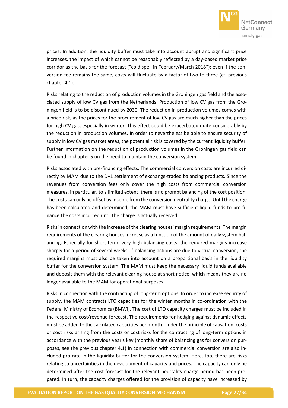

prices. In addition, the liquidity buffer must take into account abrupt and significant price increases, the impact of which cannot be reasonably reflected by a day-based market price corridor as the basis for the forecast ("cold spell in February/March 2018"); even if the conversion fee remains the same, costs will fluctuate by a factor of two to three (cf. previous chapter [4.1\)](#page-23-1).

Risks relating to the reduction of production volumes in the Groningen gas field and the associated supply of low CV gas from the Netherlands: Production of low CV gas from the Groningen field is to be discontinued by 2030. The reduction in production volumes comes with a price risk, as the prices for the procurement of low CV gas are much higher than the prices for high CV gas, especially in winter. This effect could be exacerbated quite considerably by the reduction in production volumes. In order to nevertheless be able to ensure security of supply in low CV gas market areas, the potential risk is covered by the current liquidity buffer. Further information on the reduction of production volumes in the Groningen gas field can be found in chapter [5](#page-28-0) on the need to maintain the conversion system.

Risks associated with pre-financing effects: The commercial conversion costs are incurred directly by MAM due to the D+1 settlement of exchange-traded balancing products. Since the revenues from conversion fees only cover the high costs from commercial conversion measures, in particular, to a limited extent, there is no prompt balancing of the cost position. The costs can only be offset by income from the conversion neutrality charge. Until the charge has been calculated and determined, the MAM must have sufficient liquid funds to pre-finance the costs incurred until the charge is actually received.

Risks in connection with the increase of the clearing houses' margin requirements: The margin requirements of the clearing houses increase as a function of the amount of daily system balancing. Especially for short-term, very high balancing costs, the required margins increase sharply for a period of several weeks. If balancing actions are due to virtual conversion, the required margins must also be taken into account on a proportional basis in the liquidity buffer for the conversion system. The MAM must keep the necessary liquid funds available and deposit them with the relevant clearing house at short notice, which means they are no longer available to the MAM for operational purposes.

Risks in connection with the contracting of long-term options: In order to increase security of supply, the MAM contracts LTO capacities for the winter months in co-ordination with the Federal Ministry of Economics (BMWi). The cost of LTO capacity charges must be included in the respective cost/revenue forecast. The requirements for hedging against dynamic effects must be added to the calculated capacities per month. Under the principle of causation, costs or cost risks arising from the costs or cost risks for the contracting of long-term options in accordance with the previous year's key (monthly share of balancing gas for conversion purposes, see the previous chapter [4.1\)](#page-23-1) in connection with commercial conversion are also included pro rata in the liquidity buffer for the conversion system. Here, too, there are risks relating to uncertainties in the development of capacity and prices. The capacity can only be determined after the cost forecast for the relevant neutrality charge period has been prepared. In turn, the capacity charges offered for the provision of capacity have increased by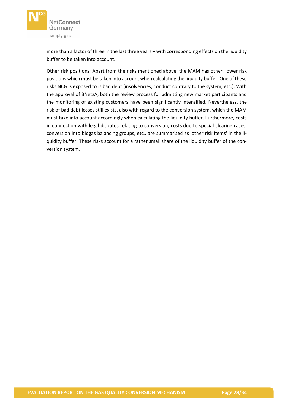

more than a factor of three in the last three years – with corresponding effects on the liquidity buffer to be taken into account.

Other risk positions: Apart from the risks mentioned above, the MAM has other, lower risk positions which must be taken into account when calculating the liquidity buffer. One of these risks NCG is exposed to is bad debt (insolvencies, conduct contrary to the system, etc.). With the approval of BNetzA, both the review process for admitting new market participants and the monitoring of existing customers have been significantly intensified. Nevertheless, the risk of bad debt losses still exists, also with regard to the conversion system, which the MAM must take into account accordingly when calculating the liquidity buffer. Furthermore, costs in connection with legal disputes relating to conversion, costs due to special clearing cases, conversion into biogas balancing groups, etc., are summarised as 'other risk items' in the liquidity buffer. These risks account for a rather small share of the liquidity buffer of the conversion system.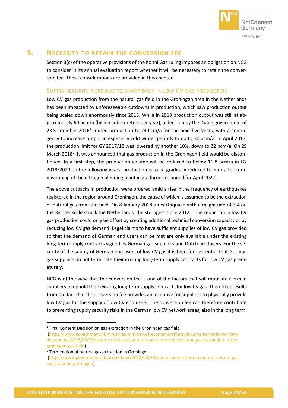

# <span id="page-28-0"></span>**5. NECESSITY TO RETAIN THE CONVERSION FEE**

Section 3(c) of the operative provisions of the Konni Gas ruling imposes an obligation on NCG to consider in its annual evaluation report whether it will be necessary to retain the conversion fee. These considerations are provided in this chapter.

# SUPPLY SECURITY RISKS DUE TO SHARP DROP IN LOW CV GAS PRODUCTION

Low CV gas production from the natural gas field in the Groningen area in the Netherlands has been impacted by unforeseeable cutdowns in production, which saw production output being scaled down enormously since 2013. While in 2013 production output was still at approximately 60 bcm/a (billion cubic metres per year), a decision by the Dutch government of 23 September 2016<sup>1</sup> limited production to 24 bcm/a for the next five years, with a contingency to increase output in especially cold winter periods to up to 30 bcm/a. In April 2017, the production limit for GY 2017/18 was lowered by another 10%, down to 22 bcm/a. On 29 March 2018<sup>2</sup>, it was announced that gas production in the Groningen field would be discontinued. In a first step, the production volume will be reduced to below 11.8 bcm/a in GY 2019/2020. In the following years, production is to be gradually reduced to zero after commissioning of the nitrogen blending plant in Zuidbroek (planned for April 2022).

The above cutbacks in production were ordered amid a rise in the frequency of earthquakes registered in the region around Groningen, the cause of which is assumed to be the extraction of natural gas from the field. On 8 January 2018 an earthquake with a magnitude of 3.4 on the Richter scale struck the Netherlands, the strongest since 2012. The reduction in low CV gas production could only be offset by creating additional technical conversion capacity or by reducing low CV gas demand. Legal claims to have sufficient supplies of low CV gas provided so that the demand of German end users can be met are only available under the existing long-term supply contracts signed by German gas suppliers and Dutch producers. For the security of the supply of German end users of low CV gas it is therefore essential that German gas suppliers do not terminate their existing long-term supply contracts for low CV gas prematurely.

NCG is of the view that the conversion fee is one of the factors that will motivate German suppliers to uphold their existing long-term supply contracts for low CV gas. This effect results from the fact that the conversion fee provides an incentive for suppliers to physically provide low CV gas for the supply of low CV end users. The conversion fee can therefore contribute to preventing supply security risks in the German low CV network areas, also in the long term.

<sup>2</sup> Termination of natural gas extraction in Groningen

**.** 

<sup>&</sup>lt;sup>1</sup> Final Consent Decision on gas extraction in the Groningen gas field

[<sup>\(</sup>https://www.government.nl/ministries/ministry-of-economic-affairs/documents/parliamentary](https://www.government.nl/ministries/ministry-of-economic-affairs/documents/parliamentary-documents/2016/09/23/letter-to-the-parliament-final-consent-decision-on-gas-extraction-in-the-groningen-gas-field)[documents/2016/09/23/letter-to-the-parliament-final-consent-decision-on-gas-extraction-in-the](https://www.government.nl/ministries/ministry-of-economic-affairs/documents/parliamentary-documents/2016/09/23/letter-to-the-parliament-final-consent-decision-on-gas-extraction-in-the-groningen-gas-field)[groningen-gas-field\)](https://www.government.nl/ministries/ministry-of-economic-affairs/documents/parliamentary-documents/2016/09/23/letter-to-the-parliament-final-consent-decision-on-gas-extraction-in-the-groningen-gas-field)

[<sup>\(</sup>https://www.government.nl/latest/news/2018/03/29/dutch-cabinet-termination-of-natural-gas](https://www.government.nl/latest/news/2018/03/29/dutch-cabinet-termination-of-natural-gas-extraction-in-groningen)[extraction-in-groningen\)](https://www.government.nl/latest/news/2018/03/29/dutch-cabinet-termination-of-natural-gas-extraction-in-groningen)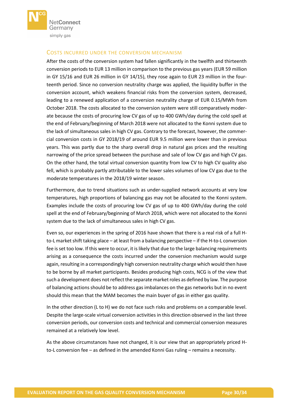

# COSTS INCURRED UNDER THE CONVERSION MECHANISM

After the costs of the conversion system had fallen significantly in the twelfth and thirteenth conversion periods to EUR 13 million in comparison to the previous gas years (EUR 59 million in GY 15/16 and EUR 26 million in GY 14/15), they rose again to EUR 23 million in the fourteenth period. Since no conversion neutrality charge was applied, the liquidity buffer in the conversion account, which weakens financial risks from the conversion system, decreased, leading to a renewed application of a conversion neutrality charge of EUR 0.15/MWh from October 2018. The costs allocated to the conversion system were still comparatively moderate because the costs of procuring low CV gas of up to 400 GWh/day during the cold spell at the end of February/beginning of March 2018 were not allocated to the Konni system due to the lack of simultaneous sales in high CV gas. Contrary to the forecast, however, the commercial conversion costs in GY 2018/19 of around EUR 9.5 million were lower than in previous years. This was partly due to the sharp overall drop in natural gas prices and the resulting narrowing of the price spread between the purchase and sale of low CV gas and high CV gas. On the other hand, the total virtual conversion quantity from low CV to high CV quality also fell, which is probably partly attributable to the lower sales volumes of low CV gas due to the moderate temperatures in the 2018/19 winter season.

Furthermore, due to trend situations such as under-supplied network accounts at very low temperatures, high proportions of balancing gas may not be allocated to the Konni system. Examples include the costs of procuring low CV gas of up to 400 GWh/day during the cold spell at the end of February/beginning of March 2018, which were not allocated to the Konni system due to the lack of simultaneous sales in high CV gas.

Even so, our experiences in the spring of 2016 have shown that there is a real risk of a full Hto-L market shift taking place – at least from a balancing perspective – if the H-to-L conversion fee is set too low. If this were to occur, it is likely that due to the large balancing requirements arising as a consequence the costs incurred under the conversion mechanism would surge again, resulting in a correspondingly high conversion neutrality charge which would then have to be borne by all market participants. Besides producing high costs, NCG is of the view that such a development does not reflect the separate market roles as defined by law. The purpose of balancing actions should be to address gas imbalances on the gas networks but in no event should this mean that the MAM becomes the main buyer of gas in either gas quality.

In the other direction (L to H) we do not face such risks and problems on a comparable level. Despite the large-scale virtual conversion activities in this direction observed in the last three conversion periods, our conversion costs and technical and commercial conversion measures remained at a relatively low level.

As the above circumstances have not changed, it is our view that an appropriately priced Hto-L conversion fee – as defined in the amended Konni Gas ruling – remains a necessity.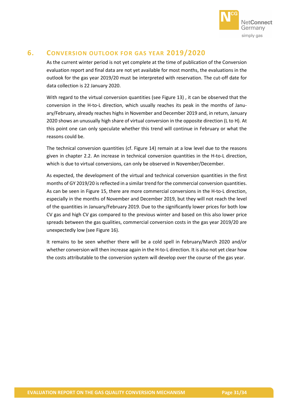

# <span id="page-30-0"></span>**6. CONVERSION OUTLOOK FOR GAS YEAR 2019/2020**

As the current winter period is not yet complete at the time of publication of the Conversion evaluation report and final data are not yet available for most months, the evaluations in the outlook for the gas year 2019/20 must be interpreted with reservation. The cut-off date for data collection is 22 January 2020.

With regard to the virtual conversion quantities (see [Figure](#page-31-0) 13) , it can be observed that the conversion in the H-to-L direction, which usually reaches its peak in the months of January/February, already reaches highs in November and December 2019 and, in return, January 2020 shows an unusually high share of virtual conversion in the opposite direction (L to H). At this point one can only speculate whether this trend will continue in February or what the reasons could be.

The technical conversion quantities (cf. [Figure](#page-31-1) 14) remain at a low level due to the reasons given in chapter [2.2.](#page-11-0) An increase in technical conversion quantities in the H-to-L direction, which is due to virtual conversions, can only be observed in November/December.

As expected, the development of the virtual and technical conversion quantities in the first months of GY 2019/20 is reflected in a similar trend for the commercial conversion quantities. As can be seen in [Figure](#page-32-0) 15, there are more commercial conversions in the H-to-L direction, especially in the months of November and December 2019, but they will not reach the level of the quantities in January/February 2019. Due to the significantly lower prices for both low CV gas and high CV gas compared to the previous winter and based on this also lower price spreads between the gas qualities, commercial conversion costs in the gas year 2019/20 are unexpectedly low (see [Figure](#page-32-1) 16).

It remains to be seen whether there will be a cold spell in February/March 2020 and/or whether conversion will then increase again in the H-to-L direction. It is also not yet clear how the costs attributable to the conversion system will develop over the course of the gas year.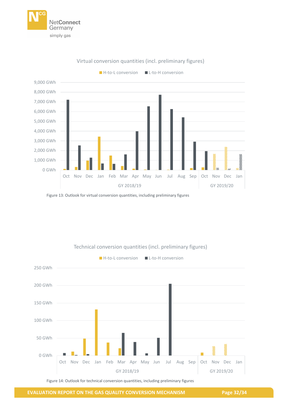



## Virtual conversion quantities (incl. preliminary figures)

<span id="page-31-0"></span>Figure 13: Outlook for virtual conversion quantities, including preliminary figures



# Technical conversion quantities (incl. preliminary figures)

<span id="page-31-1"></span>Figure 14: Outlook for technical conversion quantities, including preliminary figures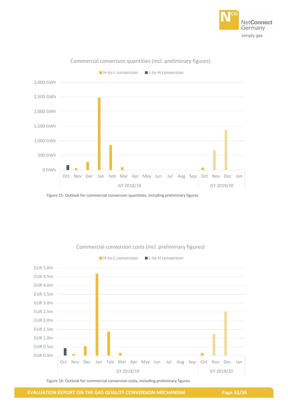



#### Commercial conversion quantities (incl. preliminary figures)

<span id="page-32-0"></span>Figure 15: Outlook for commercial conversion quantities, including preliminary figures



Commercial conversion costs (incl. preliminary figures)

<span id="page-32-1"></span>Figure 16: Outlook for commercial conversion costs, including preliminary figures